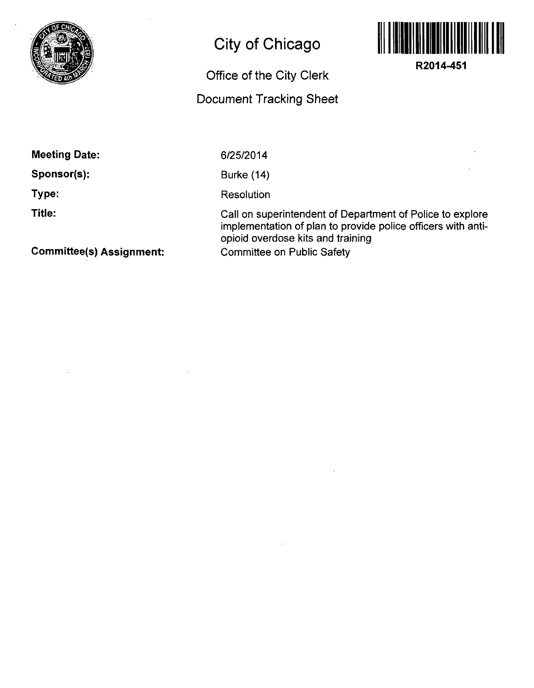

## **City of Chicago**

## **Office of the City Clerk**

## **Document Tracking Sheet**



**R2014-451** 

**Meeting Date:** 

**Sponsor(s):** 

**Type:** 

**Title:** 

6/25/2014

Burke (14)

**Resolution** 

Call on superintendent of Department of Police to explore implementation of plan to provide police officers with antiopioid overdose kits and training Committee on Public Safety

**Committee(s) Assignment:**